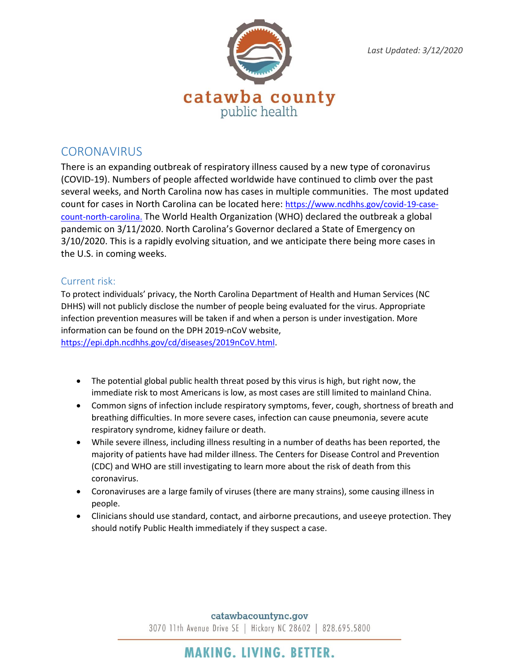

*Last Updated: 3/12/2020*

# **CORONAVIRUS**

There is an expanding outbreak of respiratory illness caused by a new type of coronavirus (COVID-19). Numbers of people affected worldwide have continued to climb over the past several weeks, and North Carolina now has cases in multiple communities. The most updated count for cases in North Carolina can be located here: [https://www.ncdhhs.gov/covid-19-case](https://www.ncdhhs.gov/covid-19-case-count-north-carolina.)[count-north-carolina.](https://www.ncdhhs.gov/covid-19-case-count-north-carolina.) The World Health Organization (WHO) declared the outbreak a global pandemic on 3/11/2020. North Carolina's Governor declared a State of Emergency on 3/10/2020. This is a rapidly evolving situation, and we anticipate there being more cases in the U.S. in coming weeks.

# Current risk:

To protect individuals' privacy, the North Carolina Department of Health and Human Services (NC DHHS) will not publicly disclose the number of people being evaluated for the virus. Appropriate infection prevention measures will be taken if and when a person is under investigation. More information can be found on the DPH 2019-nCoV website,

[https://epi.dph.ncdhhs.gov/cd/diseases/2019nCoV.html.](https://epi.dph.ncdhhs.gov/cd/diseases/2019nCoV.html)

- The potential global public health threat posed by this virus is high, but right now, the immediate risk to most Americans is low, as most cases are still limited to mainland China.
- Common signs of infection include respiratory symptoms, fever, cough, shortness of breath and breathing difficulties. In more severe cases, infection can cause pneumonia, severe acute respiratory syndrome, kidney failure or death.
- While severe illness, including illness resulting in a number of deaths has been reported, the majority of patients have had milder illness. The Centers for Disease Control and Prevention (CDC) and WHO are still investigating to learn more about the risk of death from this coronavirus.
- Coronaviruses are a large family of viruses (there are many strains), some causing illness in people.
- Clinicians should use standard, contact, and airborne precautions, and useeye protection. They should notify Public Health immediately if they suspect a case.

# catawbacountync.gov

3070 11th Avenue Drive SE | Hickory NC 28602 | 828.695.5800

# **MAKING. LIVING. BETTER.**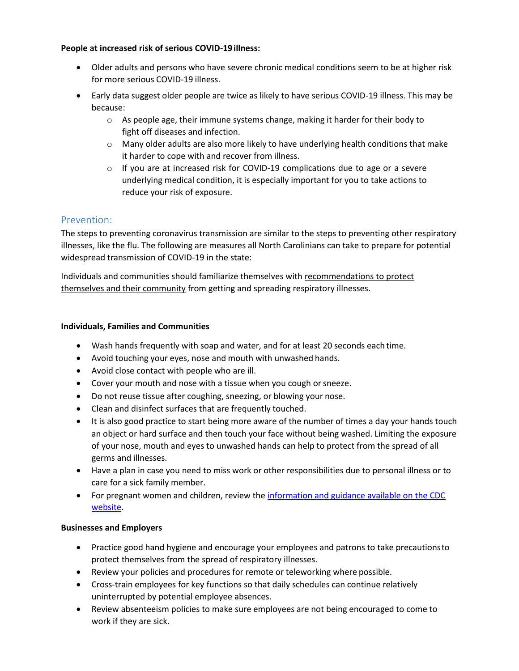#### **People at increased risk of serious COVID-19illness:**

- Older adults and persons who have severe chronic medical conditions seem to be at higher risk for more serious COVID-19 illness.
- Early data suggest older people are twice as likely to have serious COVID-19 illness. This may be because:
	- o As people age, their immune systems change, making it harder for their body to fight off diseases and infection.
	- $\circ$  Many older adults are also more likely to have underlying health conditions that make it harder to cope with and recover from illness.
	- $\circ$  If you are at increased risk for COVID-19 complications due to age or a severe underlying medical condition, it is especially important for you to take actions to reduce your risk of exposure.

# Prevention:

The steps to preventing coronavirus transmission are similar to the steps to preventing other respiratory illnesses, like the flu. The following are measures all North Carolinians can take to prepare for potential widespread transmission of COVID-19 in the state:

Individuals and communities should familiarize themselves with [recommendations to protect](https://www.cdc.gov/coronavirus/2019-ncov/community/index.html) [themselves and their community](https://www.cdc.gov/coronavirus/2019-ncov/community/index.html) from getting and spreading respiratory illnesses.

## **Individuals, Families and Communities**

- Wash hands frequently with soap and water, and for at least 20 seconds each time.
- Avoid touching your eyes, nose and mouth with unwashed hands.
- Avoid close contact with people who are ill.
- Cover your mouth and nose with a tissue when you cough orsneeze.
- Do not reuse tissue after coughing, sneezing, or blowing your nose.
- Clean and disinfect surfaces that are frequently touched.
- It is also good practice to start being more aware of the number of times a day your hands touch an object or hard surface and then touch your face without being washed. Limiting the exposure of your nose, mouth and eyes to unwashed hands can help to protect from the spread of all germs and illnesses.
- Have a plan in case you need to miss work or other responsibilities due to personal illness or to care for a sick family member.
- For pregnant women and children, review the [information and guidance available on the CDC](https://ncdhhs.us4.list-manage.com/track/click?u=58ec19aaea4630b1baad0e5e4&id=be52dc6779&e=d6878342c1) [website.](https://ncdhhs.us4.list-manage.com/track/click?u=58ec19aaea4630b1baad0e5e4&id=be52dc6779&e=d6878342c1)

#### **Businesses and Employers**

- Practice good hand hygiene and encourage your employees and patrons to take precautionsto protect themselves from the spread of respiratory illnesses.
- Review your policies and procedures for remote or teleworking where possible.
- Cross-train employees for key functions so that daily schedules can continue relatively uninterrupted by potential employee absences.
- Review absenteeism policies to make sure employees are not being encouraged to come to work if they are sick.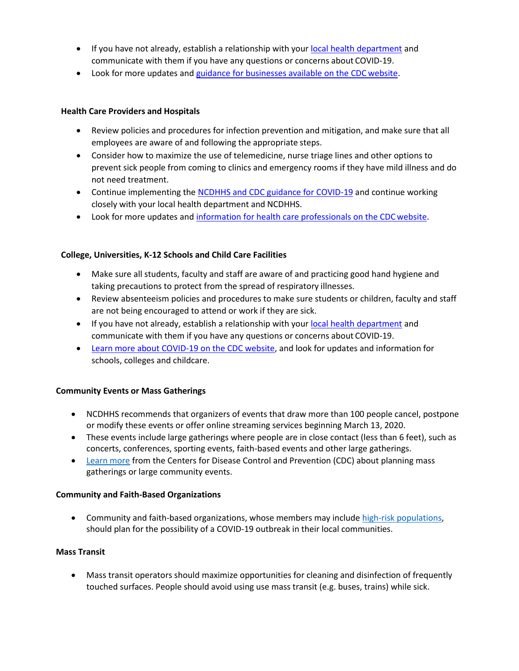- If you have not already, establish a relationship with your [local health department](https://ncdhhs.us4.list-manage.com/track/click?u=58ec19aaea4630b1baad0e5e4&id=e446412770&e=d6878342c1) and communicate with them if you have any questions or concerns about COVID-19.
- Look for more updates and [guidance for businesses available on the CDC](https://ncdhhs.us4.list-manage.com/track/click?u=58ec19aaea4630b1baad0e5e4&id=b4d6768301&e=d6878342c1) website.

#### **Health Care Providers and Hospitals**

- Review policies and procedures for infection prevention and mitigation, and make sure that all employees are aware of and following the appropriate steps.
- Consider how to maximize the use of telemedicine, nurse triage lines and other options to prevent sick people from coming to clinics and emergency rooms if they have mild illness and do not need treatment.
- Continue implementing the [NCDHHS and CDC guidance for COVID-19](https://ncdhhs.us4.list-manage.com/track/click?u=58ec19aaea4630b1baad0e5e4&id=cb2e60c1fc&e=d6878342c1) and continue working closely with your local health department and NCDHHS.
- Look for more updates and [information for health care professionals on the CDC](https://ncdhhs.us4.list-manage.com/track/click?u=58ec19aaea4630b1baad0e5e4&id=e735c94c3b&e=d6878342c1) [website.](https://ncdhhs.us4.list-manage.com/track/click?u=58ec19aaea4630b1baad0e5e4&id=e735c94c3b&e=d6878342c1)

#### **College, Universities, K-12 Schools and Child Care Facilities**

- Make sure all students, faculty and staff are aware of and practicing good hand hygiene and taking precautions to protect from the spread of respiratory illnesses.
- Review absenteeism policies and procedures to make sure students or children, faculty and staff are not being encouraged to attend or work if they are sick.
- If you have not already, establish a relationship with your [local health department](https://ncdhhs.us4.list-manage.com/track/click?u=58ec19aaea4630b1baad0e5e4&id=d3b40c4a2a&e=d6878342c1) and communicate with them if you have any questions or concerns about COVID-19.
- [Learn more about COVID-19 on the CDC website, a](https://ncdhhs.us4.list-manage.com/track/click?u=58ec19aaea4630b1baad0e5e4&id=4e6a718cab&e=d6878342c1)nd look for updates and information for schools, colleges and childcare.

#### **Community Events or Mass Gatherings**

- NCDHHS recommends that organizers of events that draw more than 100 people cancel, postpone or modify these events or offer online streaming services beginning March 13, 2020.
- These events include large gatherings where people are in close contact (less than 6 feet), such as concerts, conferences, sporting events, faith-based events and other large gatherings.
- [Learn more](https://www.cdc.gov/coronavirus/2019-ncov/community/large-events/index.html) from the Centers for Disease Control and Prevention (CDC) about planning mass gatherings or large community events.

#### **Community and Faith-Based Organizations**

• Community and faith-based organizations, whose members may include high-risk [populations,](https://www.ncdhhs.gov/divisions/public-health/coronavirus-disease-2019-covid-19-response-north-carolina/people-higher-risk) should plan for the possibility of a COVID-19 outbreak in their local communities.

#### **Mass Transit**

• Mass transit operators should maximize opportunities for cleaning and disinfection of frequently touched surfaces. People should avoid using use mass transit (e.g. buses, trains) while sick.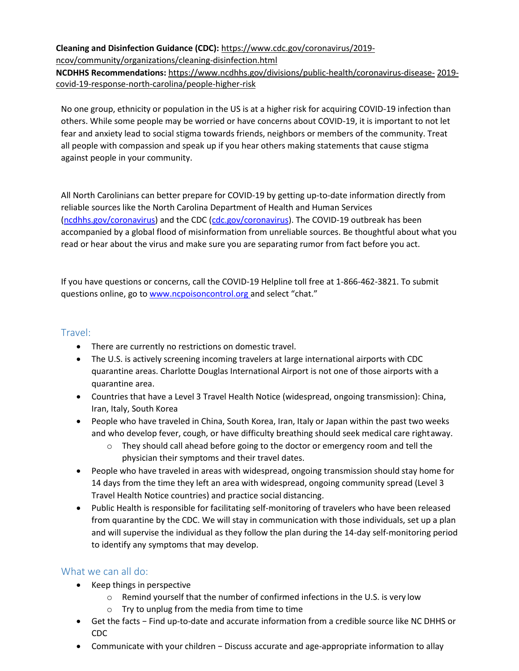# **Cleaning and Disinfection Guidance (CDC):** [https://www.cdc.gov/coronavirus/2019](https://www.cdc.gov/coronavirus/2019-ncov/community/organizations/cleaning-disinfection.html) [ncov/community/organizations/cleaning-disinfection.html](https://www.cdc.gov/coronavirus/2019-ncov/community/organizations/cleaning-disinfection.html) **NCDHHS Recommendations:** [https://www.ncdhhs.gov/divisions/public-health/coronavirus-disease-](https://www.ncdhhs.gov/divisions/public-health/coronavirus-disease-2019-covid-19-response-north-carolina/people-higher-risk) [2019](https://www.ncdhhs.gov/divisions/public-health/coronavirus-disease-2019-covid-19-response-north-carolina/people-higher-risk) [covid-19-response-north-carolina/people-higher-risk](https://www.ncdhhs.gov/divisions/public-health/coronavirus-disease-2019-covid-19-response-north-carolina/people-higher-risk)

No one group, ethnicity or population in the US is at a higher risk for acquiring COVID-19 infection than others. While some people may be worried or have concerns about COVID-19, it is important to not let fear and anxiety lead to social stigma towards friends, neighbors or members of the community. Treat all people with compassion and speak up if you hear others making statements that cause stigma against people in your community.

All North Carolinians can better prepare for COVID-19 by getting up-to-date information directly from reliable sources like the North Carolina Department of Health and Human Services [\(ncdhhs.gov/coronavirus\)](https://ncdhhs.us4.list-manage.com/track/click?u=58ec19aaea4630b1baad0e5e4&id=dfb14ce08a&e=d6878342c1) and the CDC [\(cdc.gov/coronavirus\)](https://ncdhhs.us4.list-manage.com/track/click?u=58ec19aaea4630b1baad0e5e4&id=86725ad8a9&e=d6878342c1). The COVID-19 outbreak has been accompanied by a global flood of misinformation from unreliable sources. Be thoughtful about what you read or hear about the virus and make sure you are separating rumor from fact before you act.

If you have questions or concerns, call the COVID-19 Helpline toll free at 1-866-462-3821. To submit questions online, go t[o www.ncpoisoncontrol.org](https://ncdhhs.us4.list-manage.com/track/click?u=58ec19aaea4630b1baad0e5e4&id=8db27e1273&e=d6878342c1) and select "chat."

## Travel:

- There are currently no restrictions on domestic travel.
- The U.S. is actively screening incoming travelers at large international airports with CDC quarantine areas. Charlotte Douglas International Airport is not one of those airports with a quarantine area.
- Countries that have a Level 3 Travel Health Notice (widespread, ongoing transmission): China, Iran, Italy, South Korea
- People who have traveled in China, South Korea, Iran, Italy or Japan within the past two weeks and who develop fever, cough, or have difficulty breathing should seek medical care rightaway.
	- $\circ$  They should call ahead before going to the doctor or emergency room and tell the physician their symptoms and their travel dates.
- People who have traveled in areas with widespread, ongoing transmission should stay home for 14 days from the time they left an area with widespread, ongoing community spread (Level 3 Travel Health Notice countries) and practice social distancing.
- Public Health is responsible for facilitating self-monitoring of travelers who have been released from quarantine by the CDC. We will stay in communication with those individuals, set up a plan and will supervise the individual as they follow the plan during the 14-day self-monitoring period to identify any symptoms that may develop.

# What we can all do:

- Keep things in perspective
	- $\circ$  Remind yourself that the number of confirmed infections in the U.S. is very low
	- $\circ$  Try to unplug from the media from time to time
- Get the facts − Find up-to-date and accurate information from a credible source like NC DHHS or CDC
- Communicate with your children − Discuss accurate and age-appropriate information to allay